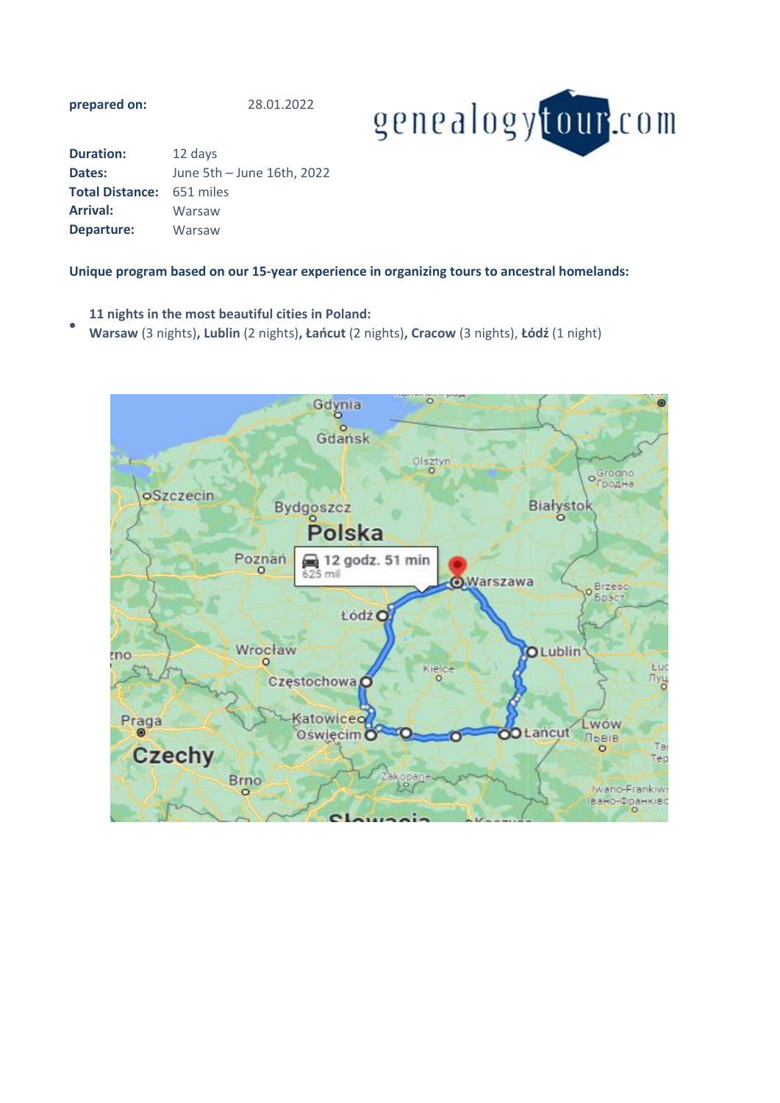**prepared on:**

28.01.2022



| <b>Duration:</b>       | 12 days                    |
|------------------------|----------------------------|
| Dates:                 | June 5th - June 16th, 2022 |
| <b>Total Distance:</b> | 651 miles                  |
| <b>Arrival:</b>        | Warsaw                     |
| Departure:             | Warsaw                     |

## **Unique program based on our 15-year experience in organizing tours to ancestral homelands:**

- **11 nights in the most beautiful cities in Poland:**
- **Warsaw** (3 nights)**, Lublin** (2 nights)**, Łańcut** (2 nights)**, Cracow** (3 nights), **Łódź** (1 night)

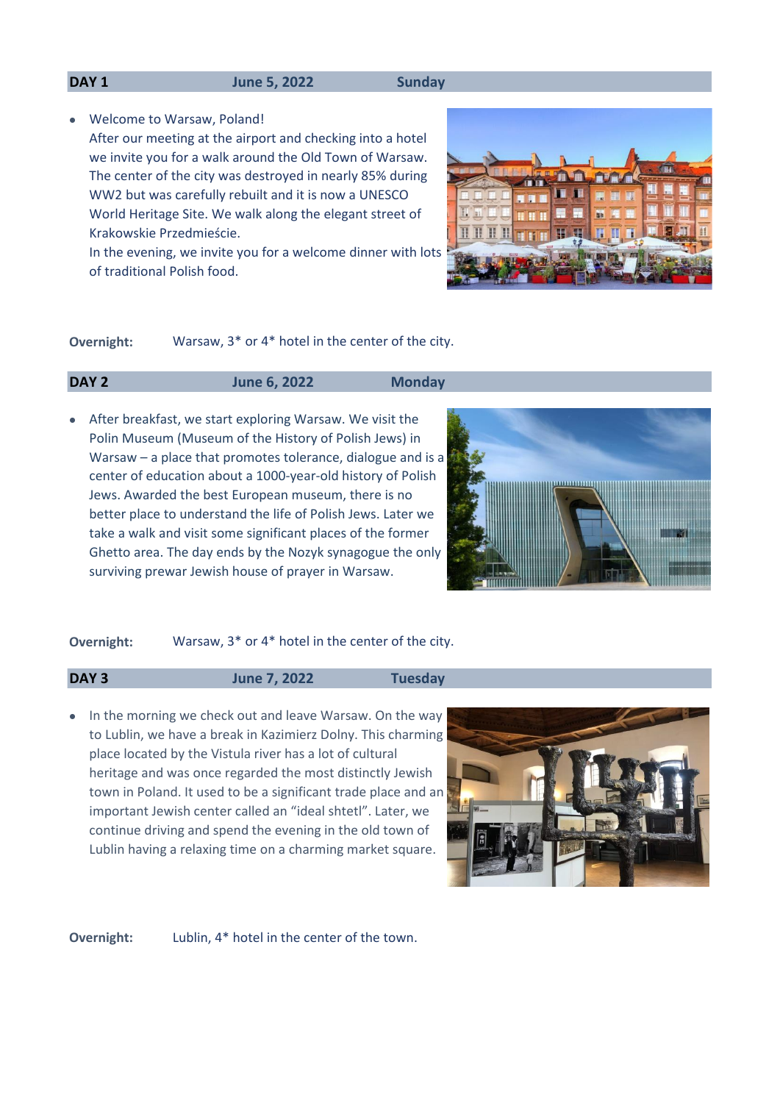#### **DAY 1 June 5, 2022 Sunday**

- Welcome to Warsaw, Poland!
- After our meeting at the airport and checking into a hotel we invite you for a walk around the Old Town of Warsaw. The center of the city was destroyed in nearly 85% during WW2 but was carefully rebuilt and it is now a UNESCO World Heritage Site. We walk along the elegant street of Krakowskie Przedmieście.
	- In the evening, we invite you for a welcome dinner with lots of traditional Polish food.



**Overnight:** Warsaw, 3\* or 4\* hotel in the center of the city.

## **DAY 2 June 6, 2022 Monday**

• After breakfast, we start exploring Warsaw. We visit the Polin Museum (Museum of the History of Polish Jews) in Warsaw – a place that promotes tolerance, dialogue and is a center of education about a 1000-year-old history of Polish Jews. Awarded the best European museum, there is no better place to understand the life of Polish Jews. Later we take a walk and visit some significant places of the former Ghetto area. The day ends by the Nozyk synagogue the only surviving prewar Jewish house of prayer in Warsaw.



### **Overnight:** Warsaw, 3\* or 4\* hotel in the center of the city.

## **DAY 3 June 7, 2022 Tuesday**

• In the morning we check out and leave Warsaw. On the way to Lublin, we have a break in Kazimierz Dolny. This charming place located by the Vistula river has a lot of cultural heritage and was once regarded the most distinctly Jewish town in Poland. It used to be a significant trade place and an important Jewish center called an "ideal shtetl". Later, we continue driving and spend the evening in the old town of Lublin having a relaxing time on a charming market square.



Lublin, 4\* hotel in the center of the town. **Overnight:**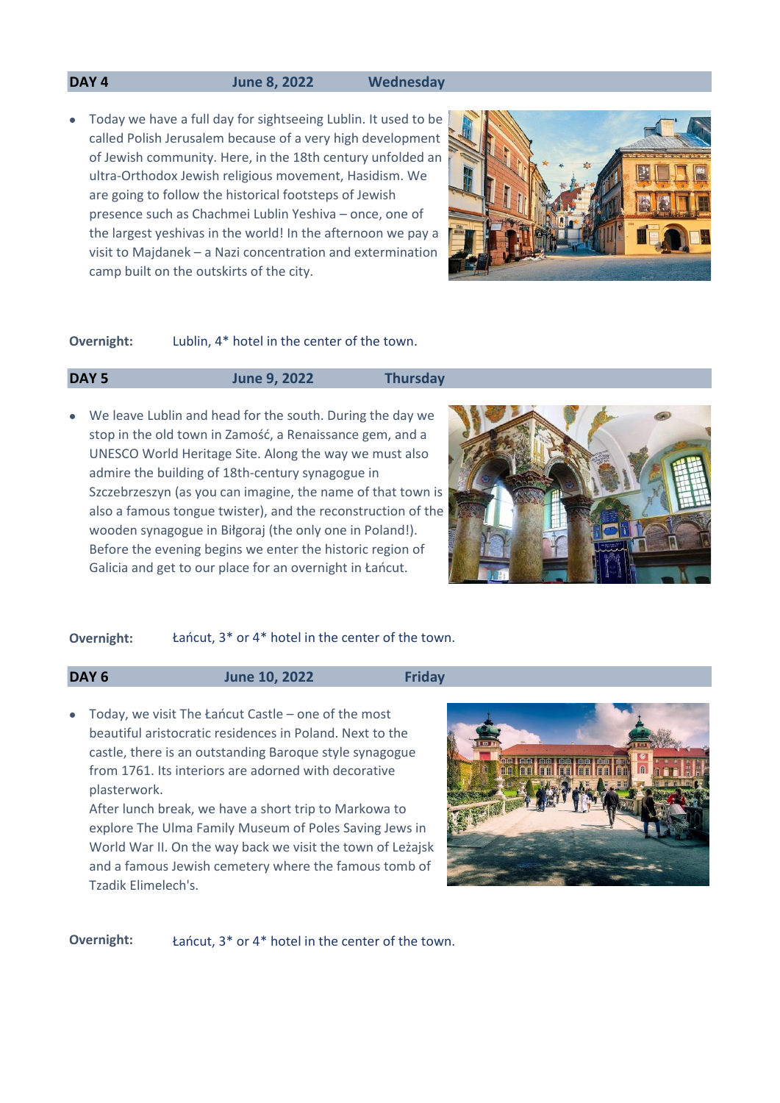## **DAY 4 June 8, 2022 Wednesday**

• Today we have a full day for sightseeing Lublin. It used to be called Polish Jerusalem because of a very high development of Jewish community. Here, in the 18th century unfolded an ultra-Orthodox Jewish religious movement, Hasidism. We are going to follow the historical footsteps of Jewish presence such as Chachmei Lublin Yeshiva – once, one of the largest yeshivas in the world! In the afternoon we pay a visit to Majdanek – a Nazi concentration and extermination camp built on the outskirts of the city.



#### Lublin, 4\* hotel in the center of the town. **Overnight:**

### **DAY 5 June 9, 2022 Thursday**

• We leave Lublin and head for the south. During the day we stop in the old town in Zamość, a Renaissance gem, and a UNESCO World Heritage Site. Along the way we must also admire the building of 18th-century synagogue in Szczebrzeszyn (as you can imagine, the name of that town is also a famous tongue twister), and the reconstruction of the wooden synagogue in Biłgoraj (the only one in Poland!). Before the evening begins we enter the historic region of Galicia and get to our place for an overnight in Łańcut.



### **Overnight:** Łańcut, 3\* or 4\* hotel in the center of the town.

**DAY 6 June 10, 2022 Friday**

• Today, we visit The Łańcut Castle – one of the most beautiful aristocratic residences in Poland. Next to the castle, there is an outstanding Baroque style synagogue from 1761. Its interiors are adorned with decorative plasterwork.

After lunch break, we have a short trip to Markowa to explore The Ulma Family Museum of Poles Saving Jews in World War II. On the way back we visit the town of Leżajsk and a famous Jewish cemetery where the famous tomb of Tzadik Elimelech's.



**Overnight:** Łańcut, 3\* or 4\* hotel in the center of the town.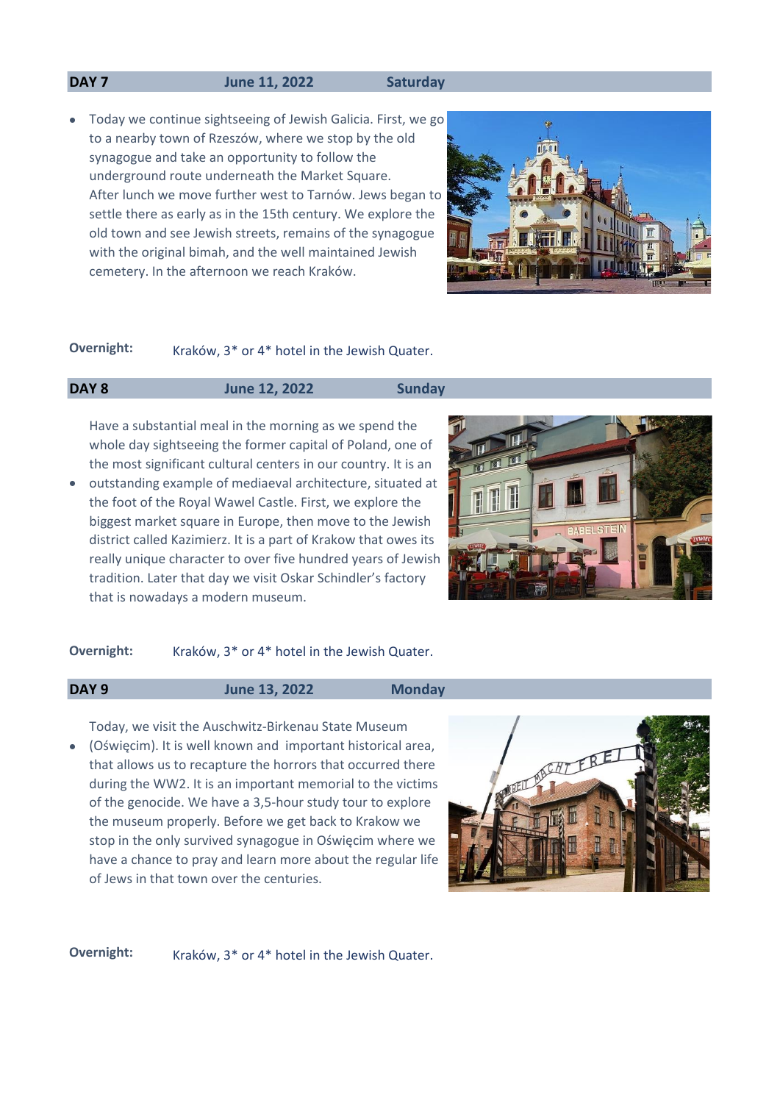#### **DAY 7 June 11, 2022 Saturday**

• Today we continue sightseeing of Jewish Galicia. First, we go to a nearby town of Rzeszów, where we stop by the old synagogue and take an opportunity to follow the underground route underneath the Market Square. After lunch we move further west to Tarnów. Jews began to settle there as early as in the 15th century. We explore the old town and see Jewish streets, remains of the synagogue with the original bimah, and the well maintained Jewish cemetery. In the afternoon we reach Kraków.



## **Overnight:** Kraków, 3<sup>\*</sup> or 4<sup>\*</sup> hotel in the Jewish Quater.

## **DAY 8 June 12, 2022 Sunday**

Have a substantial meal in the morning as we spend the whole day sightseeing the former capital of Poland, one of the most significant cultural centers in our country. It is an

• outstanding example of mediaeval architecture, situated at the foot of the Royal Wawel Castle. First, we explore the biggest market square in Europe, then move to the Jewish district called Kazimierz. It is a part of Krakow that owes its really unique character to over five hundred years of Jewish tradition. Later that day we visit Oskar Schindler's factory that is nowadays a modern museum.



## **Overnight:** Kraków, 3\* or 4\* hotel in the Jewish Quater.

**DAY 9 June 13, 2022 Monday**

• (Oświęcim). It is well known and important historical area, Today, we visit the Auschwitz-Birkenau State Museum that allows us to recapture the horrors that occurred there during the WW2. It is an important memorial to the victims of the genocide. We have a 3,5-hour study tour to explore the museum properly. Before we get back to Krakow we stop in the only survived synagogue in Oświęcim where we have a chance to pray and learn more about the regular life of Jews in that town over the centuries.



**Overnight:** Kraków, 3<sup>\*</sup> or 4<sup>\*</sup> hotel in the Jewish Quater.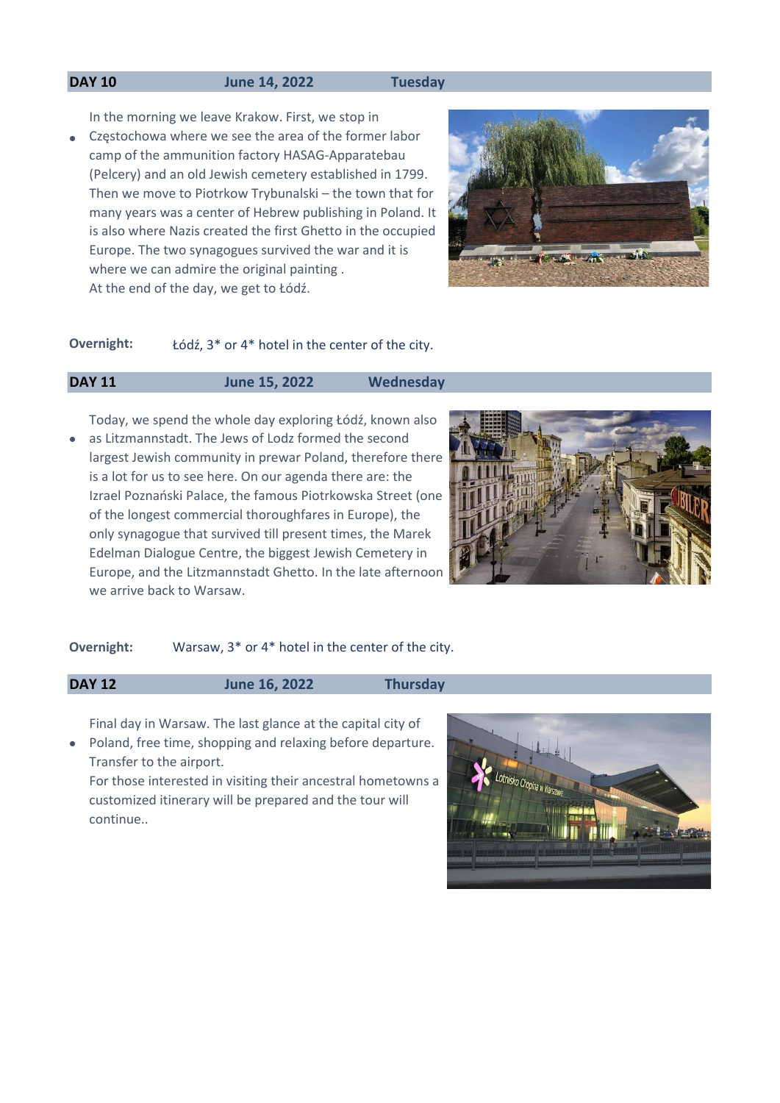### **DAY 10 June 14, 2022 Tuesday**

In the morning we leave Krakow. First, we stop in

• Częstochowa where we see the area of the former labor camp of the ammunition factory HASAG-Apparatebau (Pelcery) and an old Jewish cemetery established in 1799. Then we move to Piotrkow Trybunalski – the town that for many years was a center of Hebrew publishing in Poland. It is also where Nazis created the first Ghetto in the occupied Europe. The two synagogues survived the war and it is where we can admire the original painting . At the end of the day, we get to Łódź.



## **Overnight:** Łódź, 3\* or 4\* hotel in the center of the city.

# **DAY 11 June 15, 2022 Wednesday**

• as Litzmannstadt. The Jews of Lodz formed the second Today, we spend the whole day exploring Łódź, known also largest Jewish community in prewar Poland, therefore there is a lot for us to see here. On our agenda there are: the Izrael Poznański Palace, the famous Piotrkowska Street (one of the longest commercial thoroughfares in Europe), the only synagogue that survived till present times, the Marek Edelman Dialogue Centre, the biggest Jewish Cemetery in Europe, and the Litzmannstadt Ghetto. In the late afternoon we arrive back to Warsaw.



### **Overnight:** Warsaw, 3\* or 4\* hotel in the center of the city.

## **DAY 12 June 16, 2022 Thursday**

Final day in Warsaw. The last glance at the capital city of

• Poland, free time, shopping and relaxing before departure. Transfer to the airport.

For those interested in visiting their ancestral hometowns a customized itinerary will be prepared and the tour will continue..